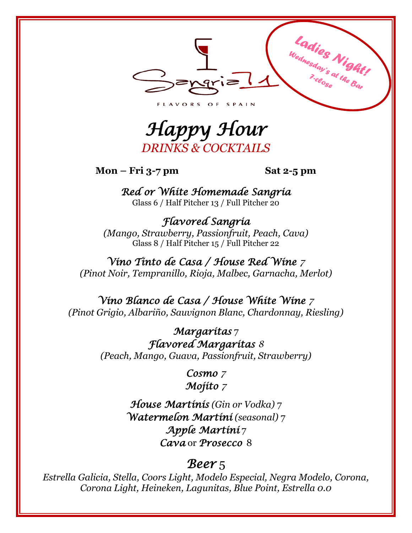

*Happy Hour DRINKS & COCKTAILS*

**Mon – Fri 3-7 pm Sat 2-5 pm**

*Red or White Homemade Sangria*  Glass 6 / Half Pitcher 13 / Full Pitcher 20

*Flavored Sangria (Mango, Strawberry, Passionfruit, Peach, Cava)* Glass 8 / Half Pitcher 15 / Full Pitcher 22

*Vino Tinto de Casa / House Red Wine 7 (Pinot Noir, Tempranillo, Rioja, Malbec, Garnacha, Merlot)*

*Vino Blanco de Casa / House White Wine 7 (Pinot Grigio, Albariño, Sauvignon Blanc, Chardonnay, Riesling)*

> *Margaritas* 7 *Flavored Margaritas 8 (Peach, Mango, Guava, Passionfruit, Strawberry)*

> > *Cosmo 7 Mojito 7*

*House Martinis (Gin or Vodka)* 7 *Watermelon Martini (seasonal)* 7 *Apple Martini* 7 *Cava* or *Prosecco* 8

### *Beer* 5

*Estrella Galicia, Stella, Coors Light, Modelo Especial, Negra Modelo, Corona, Corona Light, Heineken, Lagunitas, Blue Point, Estrella 0.0*